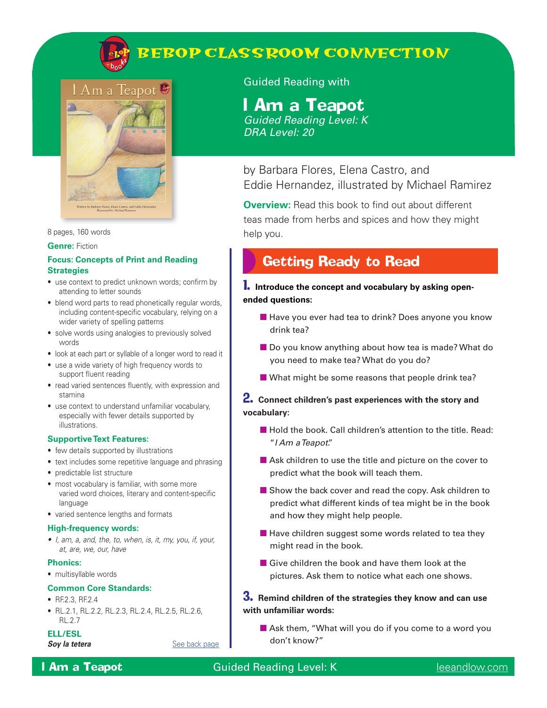

# **BEBOP CLASSROOM CONNECTION**



8 pages, 160 words

**Genre:** Fiction

#### **Focus: Concepts of Print and Reading Strategies**

- use context to predict unknown words; confirm by attending to letter sounds
- blend word parts to read phonetically regular words, including content-specific vocabulary, relying on a wider variety of spelling patterns
- solve words using analogies to previously solved words
- look at each part or syllable of a longer word to read it
- use a wide variety of high frequency words to support fluent reading
- read varied sentences fluently, with expression and stamina
- use context to understand unfamiliar vocabulary, especially with fewer details supported by illustrations.

#### **Supportive Text Features:**

- few details supported by illustrations
- text includes some repetitive language and phrasing
- predictable list structure
- most vocabulary is familiar, with some more varied word choices, literary and content-specific language
- varied sentence lengths and formats

#### **High-frequency words:**

*• I, am, a, and, the, to, when, is, it, my, you, if, your, at, are, we, our, have*

#### **Phonics:**

• multisyllable words

#### **Common Core Standards:**

- RF.2.3, RF.2.4
- RL.2.1, RL.2.2, RL.2.3, RL.2.4, RL.2.5, RL.2.6, RL.2.7

#### **ELL/ESL**

**Soy la tetera** [See back page](#page-4-0)

Guided Reading with

# I Am a Teapot

*Guided Reading Level: K DRA Level: 20*

by Barbara Flores, Elena Castro, and Eddie Hernandez, illustrated by Michael Ramirez

**Overview:** Read this book to find out about different teas made from herbs and spices and how they might help you.

## Getting Ready to Read

1. **Introduce the concept and vocabulary by asking openended questions:**

- Have you ever had tea to drink? Does anyone you know drink tea?
- Do you know anything about how tea is made? What do you need to make tea? What do you do?
- What might be some reasons that people drink tea?

#### 2. **Connect children's past experiences with the story and vocabulary:**

- Hold the book. Call children's attention to the title. Read: "*I Am a Teapot*."
- Ask children to use the title and picture on the cover to predict what the book will teach them.
- Show the back cover and read the copy. Ask children to predict what different kinds of tea might be in the book and how they might help people.
- Have children suggest some words related to tea they might read in the book.
- Give children the book and have them look at the pictures. Ask them to notice what each one shows.

#### 3. **Remind children of the strategies they know and can use with unfamiliar words:**

■ Ask them, "What will you do if you come to a word you don't know?"

## **I Am a Teapot** Guided Reading Level: K [leeandlow.com](http://leeandlow.com)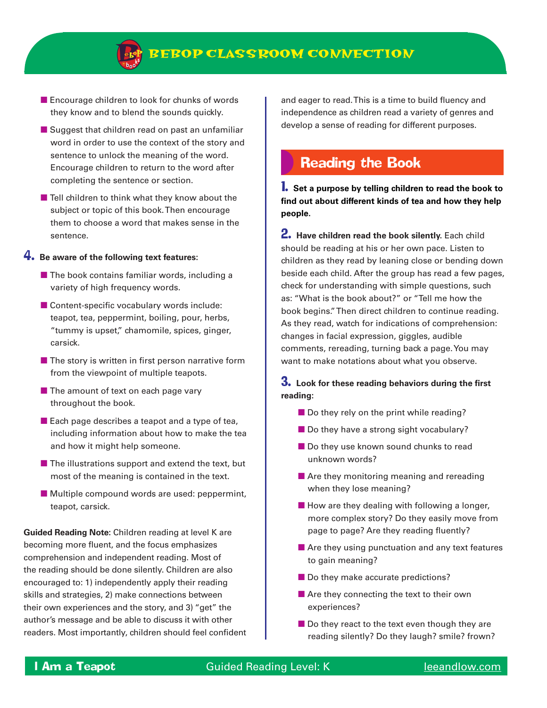

- Encourage children to look for chunks of words they know and to blend the sounds quickly.
- Suggest that children read on past an unfamiliar word in order to use the context of the story and sentence to unlock the meaning of the word. Encourage children to return to the word after completing the sentence or section.
- $\blacksquare$  Tell children to think what they know about the subject or topic of this book. Then encourage them to choose a word that makes sense in the sentence.

#### 4. **Be aware of the following text features:**

- $\blacksquare$  The book contains familiar words, including a variety of high frequency words.
- Content-specific vocabulary words include: teapot, tea, peppermint, boiling, pour, herbs, "tummy is upset," chamomile, spices, ginger, carsick.
- $\blacksquare$  The story is written in first person narrative form from the viewpoint of multiple teapots.
- The amount of text on each page vary throughout the book.
- $\blacksquare$  Each page describes a teapot and a type of tea, including information about how to make the tea and how it might help someone.
- $\blacksquare$  The illustrations support and extend the text, but most of the meaning is contained in the text.
- Multiple compound words are used: peppermint, teapot, carsick.

**Guided Reading Note:** Children reading at level K are becoming more fluent, and the focus emphasizes comprehension and independent reading. Most of the reading should be done silently. Children are also encouraged to: 1) independently apply their reading skills and strategies, 2) make connections between their own experiences and the story, and 3) "get" the author's message and be able to discuss it with other readers. Most importantly, children should feel confident and eager to read. This is a time to build fluency and independence as children read a variety of genres and develop a sense of reading for different purposes.

## Reading the Book

1. **Set a purpose by telling children to read the book to find out about different kinds of tea and how they help people.**

2. **Have children read the book silently.** Each child should be reading at his or her own pace. Listen to children as they read by leaning close or bending down beside each child. After the group has read a few pages, check for understanding with simple questions, such as: "What is the book about?" or "Tell me how the book begins." Then direct children to continue reading. As they read, watch for indications of comprehension: changes in facial expression, giggles, audible comments, rereading, turning back a page. You may want to make notations about what you observe.

3. **Look for these reading behaviors during the first reading:**

- Do they rely on the print while reading?
- Do they have a strong sight vocabulary?
- Do they use known sound chunks to read unknown words?
- Are they monitoring meaning and rereading when they lose meaning?
- How are they dealing with following a longer, more complex story? Do they easily move from page to page? Are they reading fluently?
- Are they using punctuation and any text features to gain meaning?
- Do they make accurate predictions?
- Are they connecting the text to their own experiences?
- Do they react to the text even though they are reading silently? Do they laugh? smile? frown?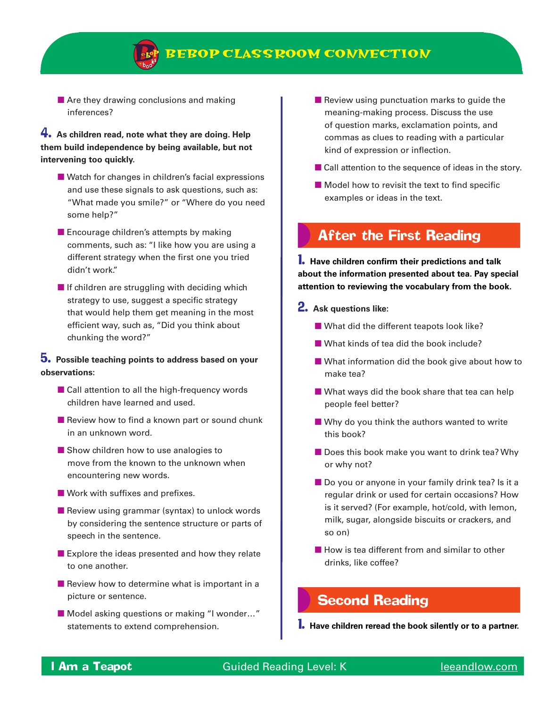

## **BEBOP CLASSROOM CONNECTION**

■ Are they drawing conclusions and making inferences?

### 4. **As children read, note what they are doing. Help them build independence by being available, but not intervening too quickly.**

- Watch for changes in children's facial expressions and use these signals to ask questions, such as: "What made you smile?" or "Where do you need some help?"
- Encourage children's attempts by making comments, such as: "I like how you are using a different strategy when the first one you tried didn't work."
- $\blacksquare$  If children are struggling with deciding which strategy to use, suggest a specific strategy that would help them get meaning in the most efficient way, such as, "Did you think about chunking the word?"

#### 5. **Possible teaching points to address based on your observations:**

- Call attention to all the high-frequency words children have learned and used.
- Review how to find a known part or sound chunk in an unknown word.
- Show children how to use analogies to move from the known to the unknown when encountering new words.
- Work with suffixes and prefixes.
- Review using grammar (syntax) to unlock words by considering the sentence structure or parts of speech in the sentence.
- Explore the ideas presented and how they relate to one another.
- $\blacksquare$  Review how to determine what is important in a picture or sentence.
- Model asking questions or making "I wonder..." statements to extend comprehension.
- Review using punctuation marks to guide the meaning-making process. Discuss the use of question marks, exclamation points, and commas as clues to reading with a particular kind of expression or inflection.
- Call attention to the sequence of ideas in the story.
- Model how to revisit the text to find specific examples or ideas in the text.

## After the First Reading

1. **Have children confirm their predictions and talk about the information presented about tea. Pay special attention to reviewing the vocabulary from the book.**

- 2. **Ask questions like:**
	- What did the different teapots look like?
	- What kinds of tea did the book include?
	- What information did the book give about how to make tea?
	- What ways did the book share that tea can help people feel better?
	- Why do you think the authors wanted to write this book?
	- Does this book make you want to drink tea? Why or why not?
	- Do you or anyone in your family drink tea? Is it a regular drink or used for certain occasions? How is it served? (For example, hot/cold, with lemon, milk, sugar, alongside biscuits or crackers, and so on)
	- How is tea different from and similar to other drinks, like coffee?

## Second Reading

1. **Have children reread the book silently or to a partner.**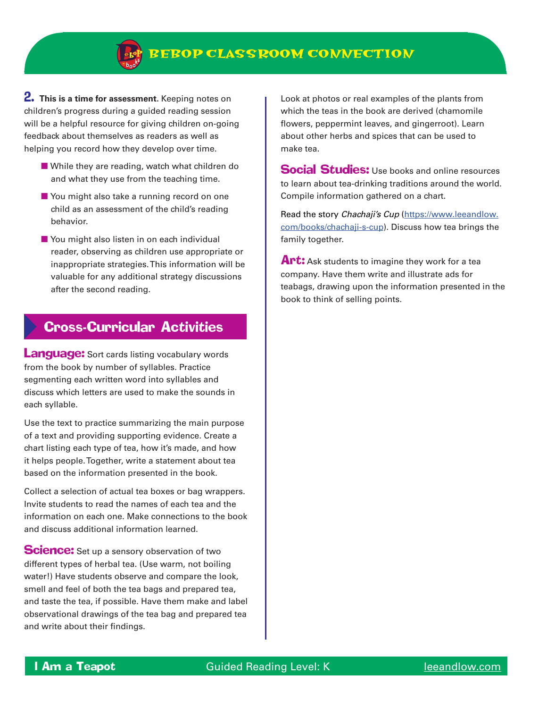

2. **This is a time for assessment.** Keeping notes on children's progress during a guided reading session will be a helpful resource for giving children on-going feedback about themselves as readers as well as helping you record how they develop over time.

- While they are reading, watch what children do and what they use from the teaching time.
- You might also take a running record on one child as an assessment of the child's reading behavior.
- You might also listen in on each individual reader, observing as children use appropriate or inappropriate strategies. This information will be valuable for any additional strategy discussions after the second reading.

## Cross-Curricular Activities

**Language:** Sort cards listing vocabulary words from the book by number of syllables. Practice segmenting each written word into syllables and discuss which letters are used to make the sounds in each syllable.

Use the text to practice summarizing the main purpose of a text and providing supporting evidence. Create a chart listing each type of tea, how it's made, and how it helps people. Together, write a statement about tea based on the information presented in the book.

Collect a selection of actual tea boxes or bag wrappers. Invite students to read the names of each tea and the information on each one. Make connections to the book and discuss additional information learned.

**Science:** Set up a sensory observation of two different types of herbal tea. (Use warm, not boiling water!) Have students observe and compare the look, smell and feel of both the tea bags and prepared tea, and taste the tea, if possible. Have them make and label observational drawings of the tea bag and prepared tea and write about their findings.

Look at photos or real examples of the plants from which the teas in the book are derived (chamomile flowers, peppermint leaves, and gingerroot). Learn about other herbs and spices that can be used to make tea.

**Social Studies:** Use books and online resources to learn about tea-drinking traditions around the world. Compile information gathered on a chart.

Read the story *Chachaji's Cup* ([https://www.leeandlow.](https://www.leeandlow.com/books/chachaji-s-cup) [com/books/chachaji-s-cup\)](https://www.leeandlow.com/books/chachaji-s-cup). Discuss how tea brings the family together.

Art: Ask students to imagine they work for a tea company. Have them write and illustrate ads for teabags, drawing upon the information presented in the book to think of selling points.